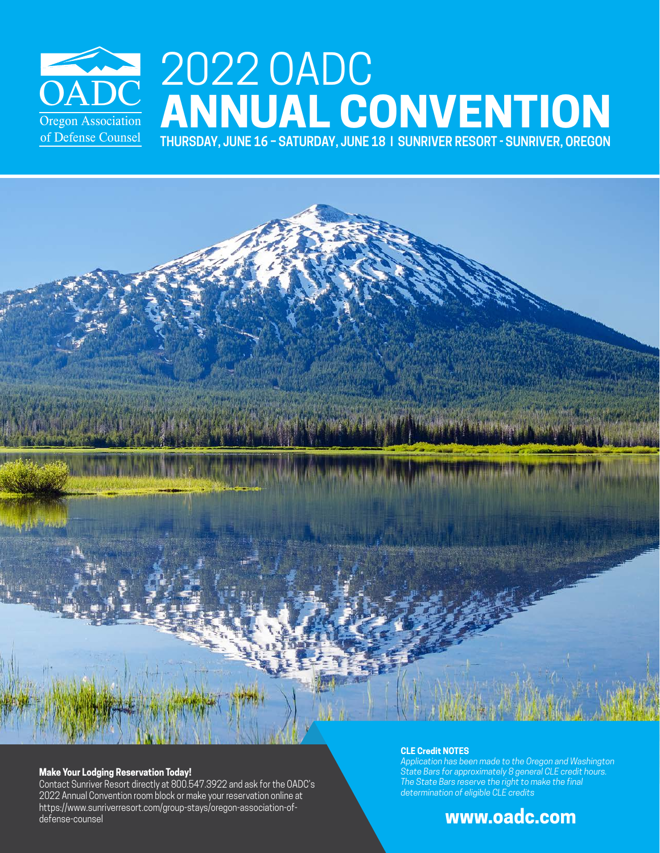

# 2022 OADC **ANNUAL CONVENTION**

**THURSDAY, JUNE 16 – SATURDAY, JUNE 18 | SUNRIVER RESORT - SUNRIVER, OREGON**

#### **Make Your Lodging Reservation Today!**

Contact Sunriver Resort directly at 800.547.3922 and ask for the OADC's 2022 Annual Convention room block or make your reservation online at https://www.sunriverresort.com/group-stays/oregon-association-ofdefense-counsel

#### **CLE Credit NOTES**

*Application has been made to the Oregon and Washington State Bars for approximately 8 general CLE credit hours. The State Bars reserve the right to make the final determination of eligible CLE credits*

# **www.oadc.com**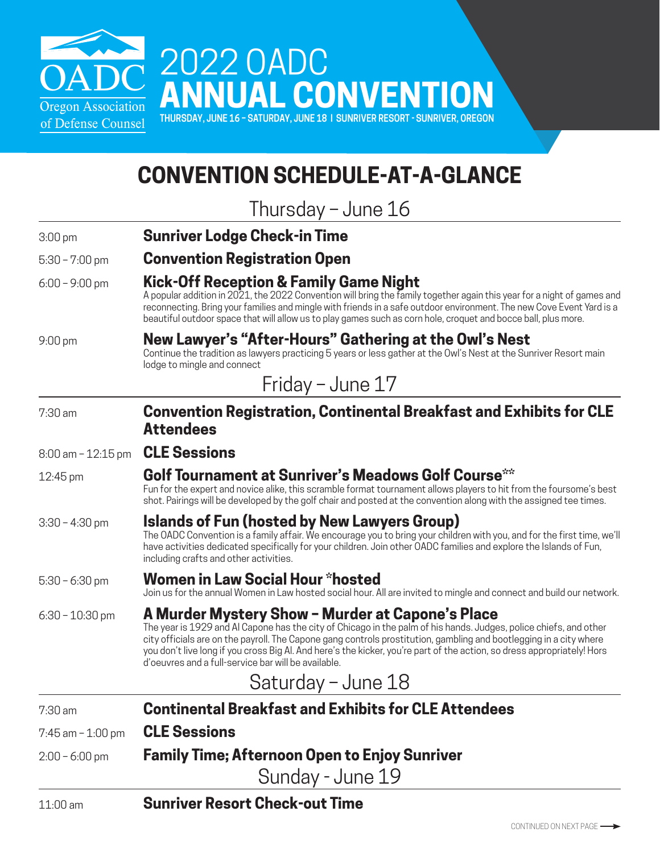

# **CONVENTION SCHEDULE-AT-A-GLANCE**

Thursday – June 16

3:00 pm **Sunriver Lodge Check-in Time**

#### 5:30 – 7:00 pm **Convention Registration Open**

#### 6:00 – 9:00 pm **Kick-Off Reception & Family Game Night**

A popular addition in 2021, the 2022 Convention will bring the family together again this year for a night of games and reconnecting. Bring your families and mingle with friends in a safe outdoor environment. The new Cove Event Yard is a beautiful outdoor space that will allow us to play games such as corn hole, croquet and bocce ball, plus more.

#### 9:00 pm **New Lawyer's "After-Hours" Gathering at the Owl's Nest** Continue the tradition as lawyers practicing 5 years or less gather at the Owl's Nest at the Sunriver Resort main

lodge to mingle and connect

# Friday – June 17

7:30 am **Convention Registration, Continental Breakfast and Exhibits for CLE Attendees**

8:00 am – 12:15 pm **CLE Sessions**

# 12:45 pm **Golf Tournament at Sunriver's Meadows Golf Course\*\***

Fun for the expert and novice alike, this scramble format tournament allows players to hit from the foursome's best shot. Pairings will be developed by the golf chair and posted at the convention along with the assigned tee times.

#### 3:30 – 4:30 pm **Islands of Fun (hosted by New Lawyers Group)**

The OADC Convention is a family affair. We encourage you to bring your children with you, and for the first time, we'll have activities dedicated specifically for your children. Join other OADC families and explore the Islands of Fun, including crafts and other activities.

## 5:30 – 6:30 pm **Women in Law Social Hour \*hosted**

Join us for the annual Women in Law hosted social hour. All are invited to mingle and connect and build our network.

## 6:30 – 10:30 pm **A Murder Mystery Show – Murder at Capone's Place**

The year is 1929 and Al Capone has the city of Chicago in the palm of his hands. Judges, police chiefs, and other city officials are on the payroll. The Capone gang controls prostitution, gambling and bootlegging in a city where you don't live long if you cross Big Al. And here's the kicker, you're part of the action, so dress appropriately! Hors d'oeuvres and a full-service bar will be available.

# Saturday – June 18

7:30 am **Continental Breakfast and Exhibits for CLE Attendees** 7:45 am – 1:00 pm **CLE Sessions**

# 2:00 – 6:00 pm **Family Time; Afternoon Open to Enjoy Sunriver**

Sunday - June 19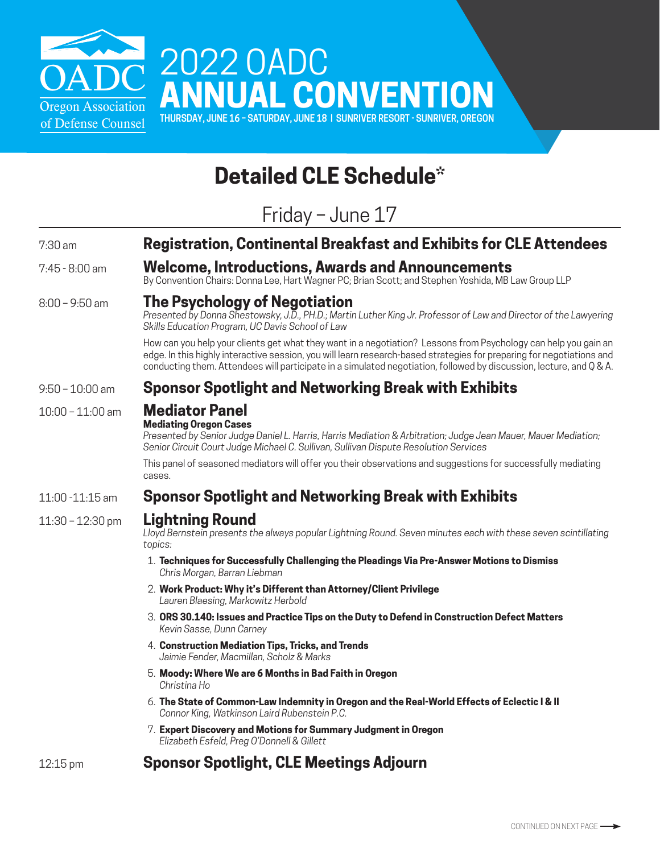

# **Detailed CLE Schedule\***

Friday – June 17

| $7:30$ am          | <b>Registration, Continental Breakfast and Exhibits for CLE Attendees</b>                                                                                                                                                                                                                                                                                       |  |
|--------------------|-----------------------------------------------------------------------------------------------------------------------------------------------------------------------------------------------------------------------------------------------------------------------------------------------------------------------------------------------------------------|--|
|                    |                                                                                                                                                                                                                                                                                                                                                                 |  |
| 7:45 - 8:00 am     | Welcome, Introductions, Awards and Announcements<br>By Convention Chairs: Donna Lee, Hart Wagner PC; Brian Scott; and Stephen Yoshida, MB Law Group LLP                                                                                                                                                                                                         |  |
| $8:00 - 9:50$ am   | The Psychology of Negotiation<br>Presented by Donna Shestowsky, J.D., PH.D.; Martin Luther King Jr. Professor of Law and Director of the Lawyering<br>Skills Education Program, UC Davis School of Law                                                                                                                                                          |  |
|                    | How can you help your clients get what they want in a negotiation? Lessons from Psychology can help you gain an<br>edge. In this highly interactive session, you will learn research-based strategies for preparing for negotiations and<br>conducting them. Attendees will participate in a simulated negotiation, followed by discussion, lecture, and Q & A. |  |
| $9:50 - 10:00$ am  | Sponsor Spotlight and Networking Break with Exhibits                                                                                                                                                                                                                                                                                                            |  |
| $10:00 - 11:00$ am | <b>Mediator Panel</b>                                                                                                                                                                                                                                                                                                                                           |  |
|                    | <b>Mediating Oregon Cases</b><br>Presented by Senior Judge Daniel L. Harris, Harris Mediation & Arbitration; Judge Jean Mauer, Mauer Mediation;<br>Senior Circuit Court Judge Michael C. Sullivan, Sullivan Dispute Resolution Services                                                                                                                         |  |
|                    | This panel of seasoned mediators will offer you their observations and suggestions for successfully mediating<br>cases.                                                                                                                                                                                                                                         |  |
| 11:00 -11:15 am    | <b>Sponsor Spotlight and Networking Break with Exhibits</b>                                                                                                                                                                                                                                                                                                     |  |
| $11:30 - 12:30$ pm | <b>Lightning Round</b><br>Lloyd Bernstein presents the always popular Lightning Round. Seven minutes each with these seven scintillating<br>topics:                                                                                                                                                                                                             |  |
|                    | 1. Techniques for Successfully Challenging the Pleadings Via Pre-Answer Motions to Dismiss<br>Chris Morgan, Barran Liebman                                                                                                                                                                                                                                      |  |
|                    | 2. Work Product: Why it's Different than Attorney/Client Privilege<br>Lauren Blaesing, Markowitz Herbold                                                                                                                                                                                                                                                        |  |
|                    | 3. ORS 30.140: Issues and Practice Tips on the Duty to Defend in Construction Defect Matters<br>Kevin Sasse, Dunn Carney                                                                                                                                                                                                                                        |  |
|                    | 4. Construction Mediation Tips, Tricks, and Trends<br>Jaimie Fender, Macmillan, Scholz & Marks                                                                                                                                                                                                                                                                  |  |
|                    | 5. Moody: Where We are 6 Months in Bad Faith in Oregon<br>Christina Ho                                                                                                                                                                                                                                                                                          |  |
|                    | 6. The State of Common-Law Indemnity in Oregon and the Real-World Effects of Eclectic I & II<br>Connor King, Watkinson Laird Rubenstein P.C.                                                                                                                                                                                                                    |  |
|                    | 7. Expert Discovery and Motions for Summary Judgment in Oregon<br>Elizabeth Esfeld, Preg O'Donnell & Gillett                                                                                                                                                                                                                                                    |  |
|                    |                                                                                                                                                                                                                                                                                                                                                                 |  |

# 12:15 pm **Sponsor Spotlight, CLE Meetings Adjourn**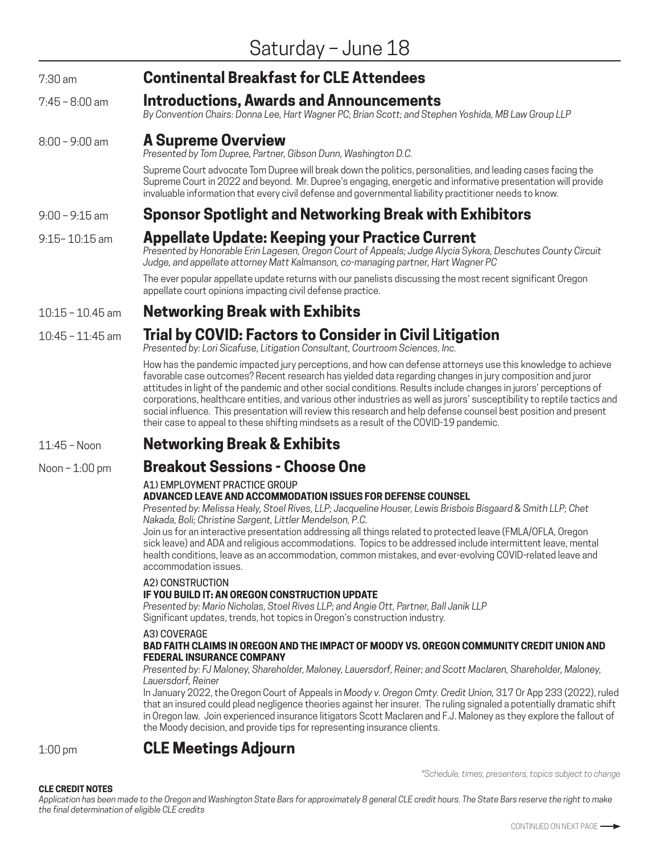## 7:30 am **Continental Breakfast for CLE Attendees**

#### 7:45 – 8:00 am **Introductions, Awards and Announcements**

*By Convention Chairs: Donna Lee, Hart Wagner PC; Brian Scott; and Stephen Yoshida, MB Law Group LLP*

#### 8:00 – 9:00 am **A Supreme Overview**

*Presented by Tom Dupree, Partner, Gibson Dunn, Washington D.C.*

Supreme Court advocate Tom Dupree will break down the politics, personalities, and leading cases facing the Supreme Court in 2022 and beyond. Mr. Dupree's engaging, energetic and informative presentation will provide invaluable information that every civil defense and governmental liability practitioner needs to know.

## 9:00 – 9:15 am **Sponsor Spotlight and Networking Break with Exhibitors**

# 9:15– 10:15 am **Appellate Update: Keeping your Practice Current**

*Presented by Honorable Erin Lagesen, Oregon Court of Appeals; Judge Alycia Sykora, Deschutes County Circuit Judge, and appellate attorney Matt Kalmanson, co-managing partner, Hart Wagner PC* 

The ever popular appellate update returns with our panelists discussing the most recent significant Oregon appellate court opinions impacting civil defense practice.

## 10:15 – 10.45 am **Networking Break with Exhibits**

## 10:45 – 11:45 am **Trial by COVID: Factors to Consider in Civil Litigation**

*Presented by: Lori Sicafuse, Litigation Consultant, Courtroom Sciences, Inc.*

How has the pandemic impacted jury perceptions, and how can defense attorneys use this knowledge to achieve favorable case outcomes? Recent research has yielded data regarding changes in jury composition and juror attitudes in light of the pandemic and other social conditions. Results include changes in jurors' perceptions of corporations, healthcare entities, and various other industries as well as jurors' susceptibility to reptile tactics and social influence. This presentation will review this research and help defense counsel best position and present their case to appeal to these shifting mindsets as a result of the COVID-19 pandemic.

#### 11:45 – Noon **Networking Break & Exhibits**

# Noon – 1:00 pm **Breakout Sessions - Choose One**

#### A1) EMPLOYMENT PRACTICE GROUP

#### **ADVANCED LEAVE AND ACCOMMODATION ISSUES FOR DEFENSE COUNSEL**

*Presented by: Melissa Healy, Stoel Rives, LLP; Jacqueline Houser, Lewis Brisbois Bisgaard & Smith LLP; Chet Nakada, Boli; Christine Sargent, Littler Mendelson, P.C.* 

Join us for an interactive presentation addressing all things related to protected leave (FMLA/OFLA, Oregon sick leave) and ADA and religious accommodations. Topics to be addressed include intermittent leave, mental health conditions, leave as an accommodation, common mistakes, and ever-evolving COVID-related leave and accommodation issues.

#### A2) CONSTRUCTION

#### **IF YOU BUILD IT: AN OREGON CONSTRUCTION UPDATE**

*Presented by: Mario Nicholas, Stoel Rives LLP; and Angie Ott, Partner, Ball Janik LLP* Significant updates, trends, hot topics in Oregon's construction industry.

#### A3) COVERAGE

#### **BAD FAITH CLAIMS IN OREGON AND THE IMPACT OF MOODY VS. OREGON COMMUNITY CREDIT UNION AND FEDERAL INSURANCE COMPANY**

#### *Presented by: FJ Maloney, Shareholder, Maloney, Lauersdorf, Reiner; and Scott Maclaren, Shareholder, Maloney, Lauersdorf, Reiner*

In January 2022, the Oregon Court of Appeals in *Moody v. Oregon Cmty. Credit Union,* 317 Or App 233 (2022), ruled that an insured could plead negligence theories against her insurer. The ruling signaled a potentially dramatic shift in Oregon law. Join experienced insurance litigators Scott Maclaren and F.J. Maloney as they explore the fallout of the Moody decision, and provide tips for representing insurance clients.

# 1:00 pm **CLE Meetings Adjourn**

*\*Schedule, times, presenters, topics subject to change*